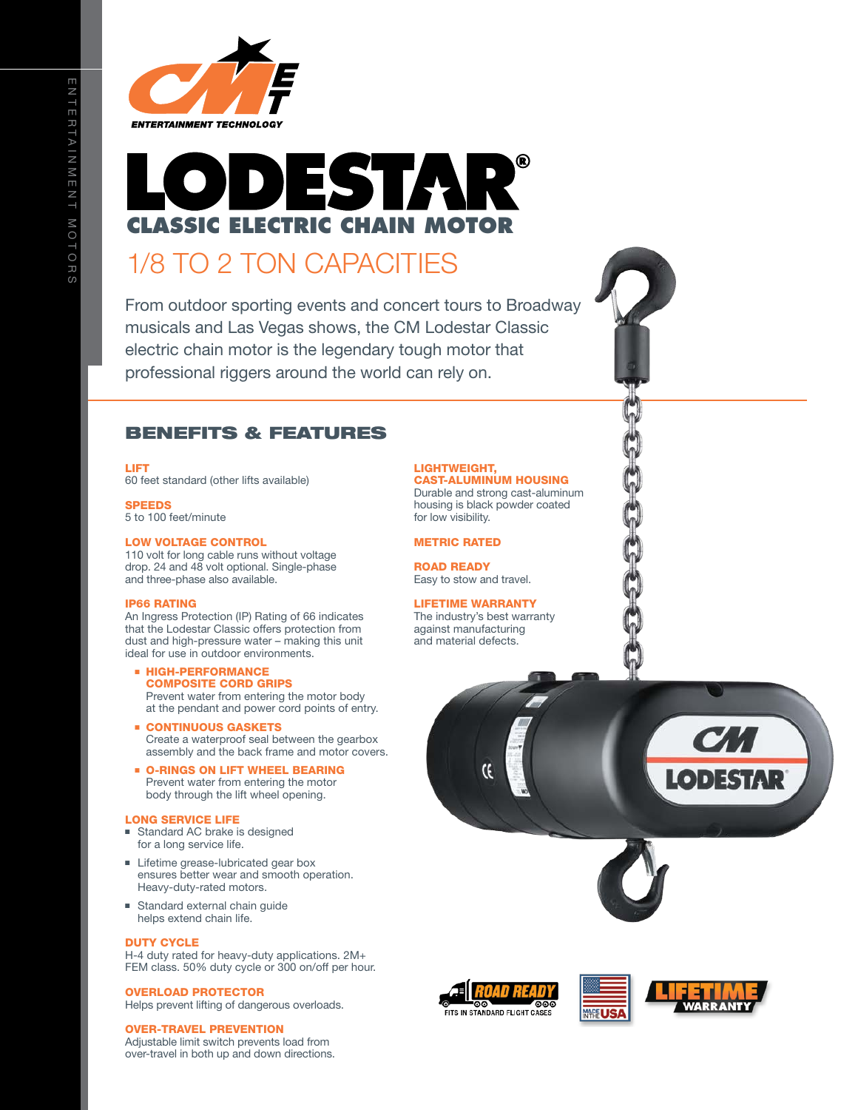

# DESTA **CLASSIC ELECTRIC CHAIN MOTOR**

### 1/8 to 2 TON CAPACITIES

From outdoor sporting events and concert tours to Broadway musicals and Las Vegas shows, the CM Lodestar Classic electric chain motor is the legendary tough motor that professional riggers around the world can rely on.

#### BENEFITS & FEATURES

LIFT

60 feet standard (other lifts available)

**SPEEDS** 

5 to 100 feet/minute

#### Low Voltage Control

110 volt for long cable runs without voltage drop. 24 and 48 volt optional. Single-phase and three-phase also available.

#### IP66 RATING

An Ingress Protection (IP) Rating of 66 indicates that the Lodestar Classic offers protection from dust and high-pressure water – making this unit ideal for use in outdoor environments.

- **E** HIGH-PERFORMANCE composite cord grips Prevent water from entering the motor body at the pendant and power cord points of entry.
- **E** CONTINUOUS GASKETS Create a waterproof seal between the gearbox assembly and the back frame and motor covers.
- **D-RINGS ON LIFT WHEEL BEARING** Prevent water from entering the motor body through the lift wheel opening.

#### Long Service Life

- Standard AC brake is designed for a long service life.
- Lifetime grease-lubricated gear box ensures better wear and smooth operation. Heavy-duty-rated motors.
- Standard external chain guide helps extend chain life.

#### Duty Cycle

H-4 duty rated for heavy-duty applications. 2M+ FEM class. 50% duty cycle or 300 on/off per hour.

#### OVERLOAD PROTECTOR

Helps prevent lifting of dangerous overloads.

#### OVER-tRAVEL PREVENTION

Adjustable limit switch prevents load from over-travel in both up and down directions.

#### LIGHTWEIGHT, CAST-ALUMINUM HOUSING

Durable and strong cast-aluminum housing is black powder coated for low visibility.

#### METRIC RATED

ROAD READY Easy to stow and travel.

#### LIFETIME WARRANTY

The industry's best warranty against manufacturing and material defects.







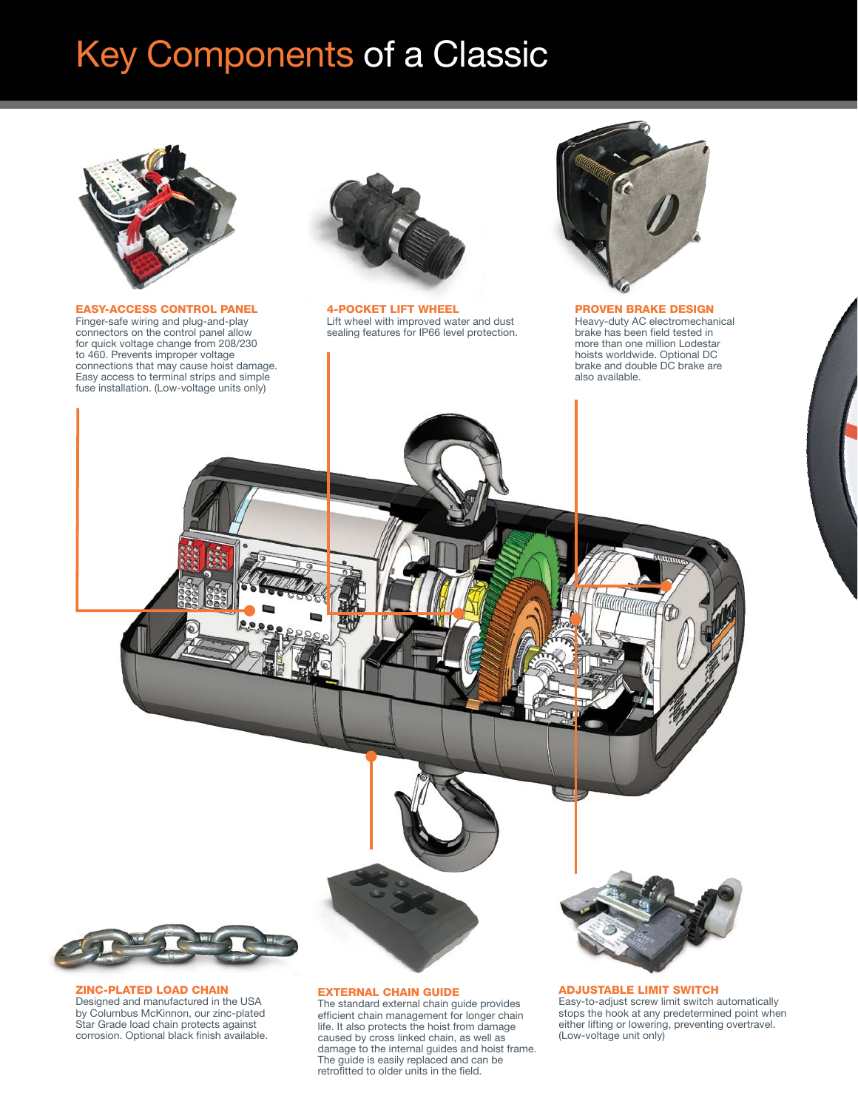## Key Components of a Classic



EASY-ACCESS CONTROL PANEL Finger-safe wiring and plug-and-play connectors on the control panel allow for quick voltage change from 208/230 to 460. Prevents improper voltage connections that may cause hoist damage. Easy access to terminal strips and simple fuse installation. (Low-voltage units only)



4-Pocket Lift wheel Lift wheel with improved water and dust sealing features for IP66 level protection.



PROVEN BRAKE DESIGN Heavy-duty AC electromechanical brake has been field tested in more than one million Lodestar hoists worldwide. Optional DC brake and double DC brake are also available.



ZINC-PLATED Load Chain Designed and manufactured in the USA by Columbus McKinnon, our zinc-plated Star Grade load chain protects against corrosion. Optional black finish available.

#### EXTERNAL CHAIN GUIDE

The standard external chain guide provides efficient chain management for longer chain life. It also protects the hoist from damage caused by cross linked chain, as well as damage to the internal guides and hoist frame. The guide is easily replaced and can be retrofitted to older units in the field.

#### ADJUSTABLE LIMIT SWITCH

Easy-to-adjust screw limit switch automatically stops the hook at any predetermined point when either lifting or lowering, preventing overtravel. (Low-voltage unit only)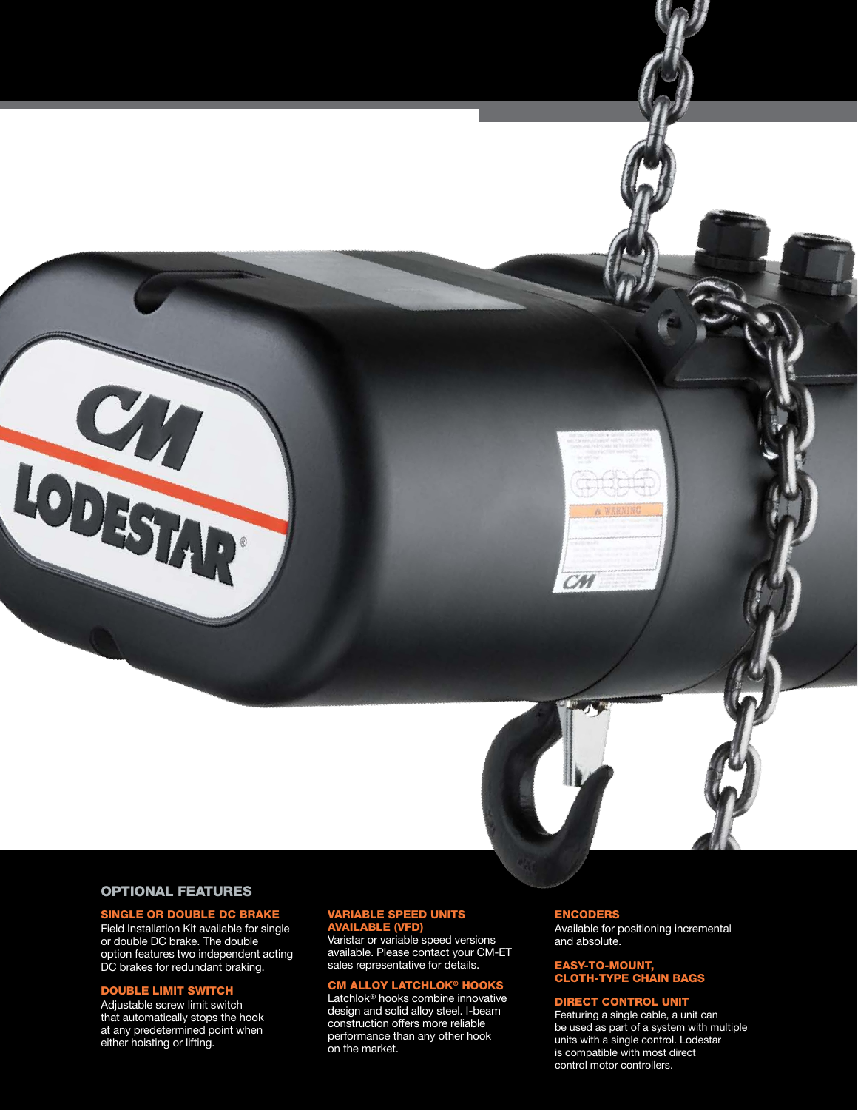

CM

#### OPTIONAL FEATURES

LODESTAR<sup>.</sup>

#### SINGLE OR DOUBLE DC BRAKE

Field Installation Kit available for single or double DC brake. The double option features two independent acting DC brakes for redundant braking.

#### DOUBLE LIMIT SWITCH

Adjustable screw limit switch that automatically stops the hook at any predetermined point when either hoisting or lifting.

#### VARIABLE SPEED UNITS AVAILABLE (VFD)

Varistar or variable speed versions available. Please contact your CM-ET sales representative for details.

#### **CM ALLOY LATCHLOK® HOOK**

Latchlok® hooks combine innovative design and solid alloy steel. I-beam construction offers more reliable performance than any other hook on the market.

#### **ENCODERS**

Available for positioning incremental and absolute.

#### EASY-TO-MOUNT, CLOTH-TYPE CHAIN BAGS

#### DIRECT CONTROL UNIT

Featuring a single cable, a unit can be used as part of a system with multiple units with a single control. Lodestar is compatible with most direct control motor controllers.